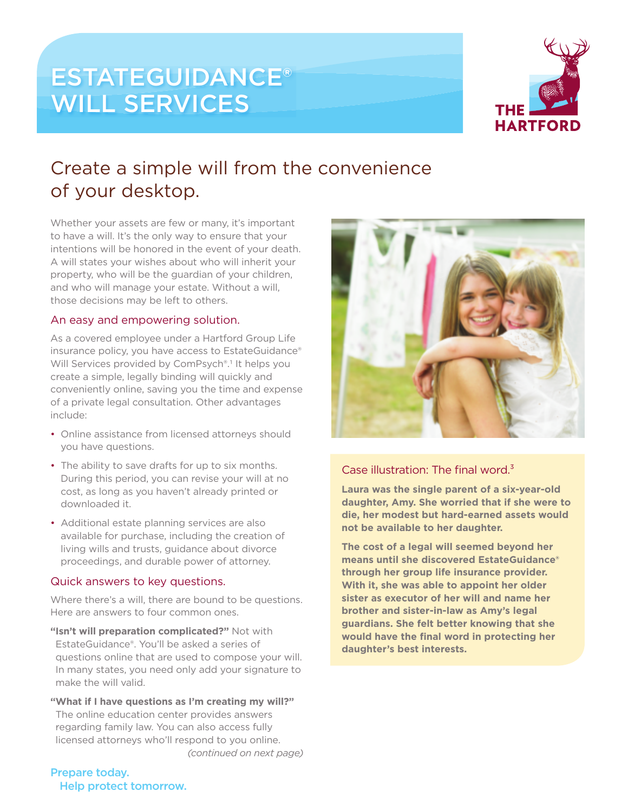# ESTATEGUIDANCE® WILL SERVICES



# Create a simple will from the convenience of your desktop.

Whether your assets are few or many, it's important to have a will. It's the only way to ensure that your intentions will be honored in the event of your death. A will states your wishes about who will inherit your property, who will be the guardian of your children, and who will manage your estate. Without a will, those decisions may be left to others.

### An easy and empowering solution.

As a covered employee under a Hartford Group Life insurance policy, you have access to EstateGuidance® Will Services provided by ComPsych®.<sup>1</sup> It helps you create a simple, legally binding will quickly and conveniently online, saving you the time and expense of a private legal consultation. Other advantages include:

- Online assistance from licensed attorneys should you have questions.
- The ability to save drafts for up to six months. During this period, you can revise your will at no cost, as long as you haven't already printed or downloaded it.
- Additional estate planning services are also available for purchase, including the creation of living wills and trusts, guidance about divorce proceedings, and durable power of attorney.

### Quick answers to key questions.

Where there's a will, there are bound to be questions. Here are answers to four common ones.

**"Isn't will preparation complicated?"** Not with EstateGuidance®. You'll be asked a series of questions online that are used to compose your will. In many states, you need only add your signature to make the will valid.

**"What if I have questions as I'm creating my will?"** The online education center provides answers regarding family law. You can also access fully licensed attorneys who'll respond to you online. *(continued on next page)*



### Case illustration: The final word. $3$

**Laura was the single parent of a six-year-old daughter, Amy. She worried that if she were to die, her modest but hard-earned assets would not be available to her daughter.**

**The cost of a legal will seemed beyond her means until she discovered EstateGuidance® through her group life insurance provider. With it, she was able to appoint her older sister as executor of her will and name her brother and sister-in-law as Amy's legal guardians. She felt better knowing that she would have the final word in protecting her daughter's best interests.**

Prepare today. Help protect tomorrow.